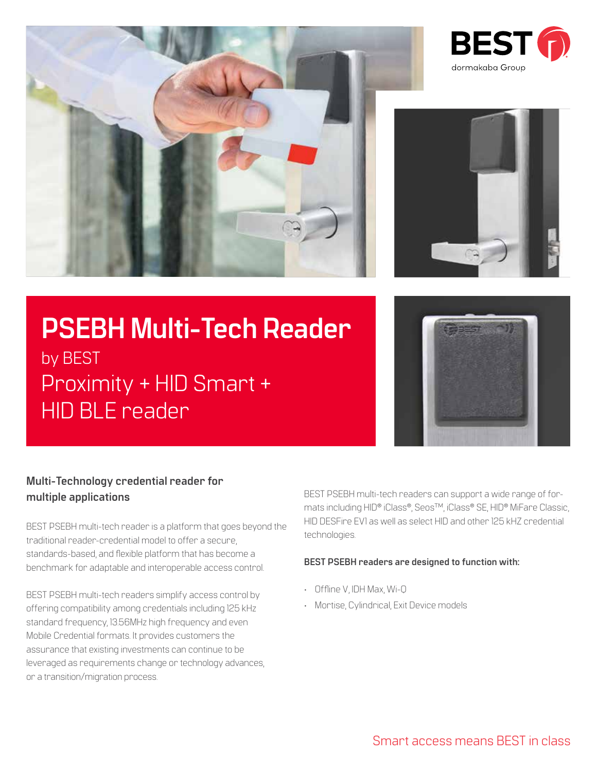





# **PSEBH Multi-Tech Reader** by BEST Proximity + HID Smart + HID BLE reader



## **Multi-Technology credential reader for multiple applications**

BEST PSEBH multi-tech reader is a platform that goes beyond the traditional reader-credential model to offer a secure, standards-based, and flexible platform that has become a benchmark for adaptable and interoperable access control.

BEST PSEBH multi-tech readers simplify access control by offering compatibility among credentials including 125 kHz standard frequency, 13.56MHz high frequency and even Mobile Credential formats. It provides customers the assurance that existing investments can continue to be leveraged as requirements change or technology advances, or a transition/migration process.

BEST PSEBH multi-tech readers can support a wide range of formats including HID® iClass®, SeosTM, iClass® SE, HID® MiFare Classic, HID DESFire EV1 as well as select HID and other 125 kHZ credential technologies.

### **BEST PSEBH readers are designed to function with:**

- Offline V, IDH Max, Wi-Q
- Mortise, Cylindrical, Exit Device models